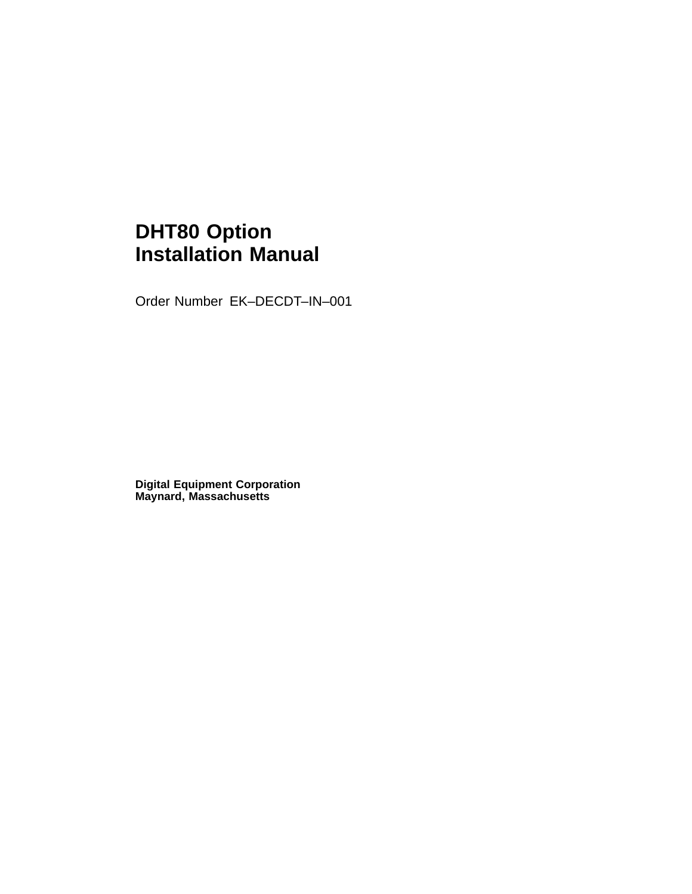## **DHT80 Option Installation Manual**

Order Number EK–DECDT–IN–001

**Digital Equipment Corporation Maynard, Massachusetts**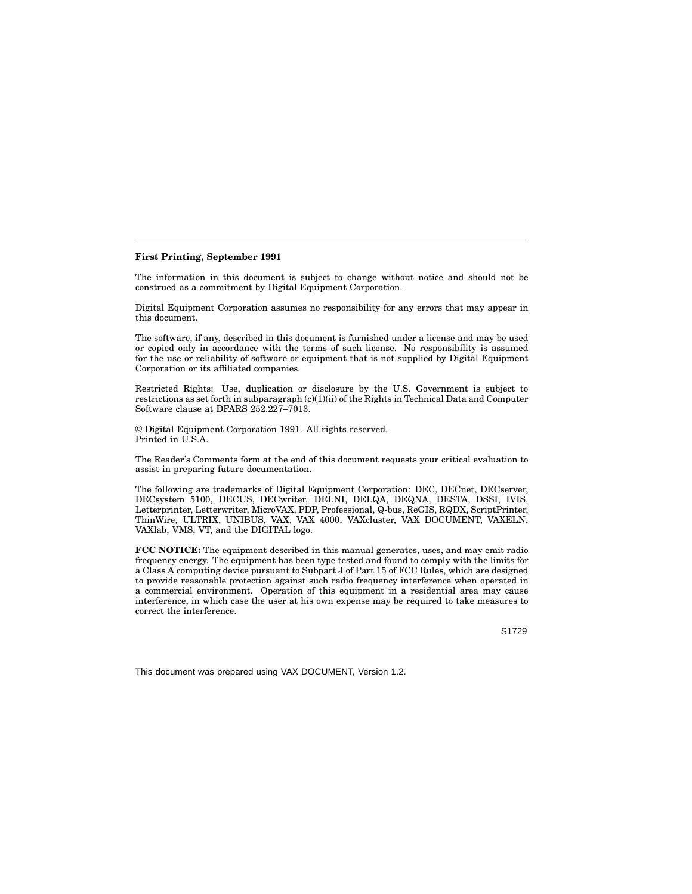#### **First Printing, September 1991**

The information in this document is subject to change without notice and should not be construed as a commitment by Digital Equipment Corporation.

Digital Equipment Corporation assumes no responsibility for any errors that may appear in this document.

The software, if any, described in this document is furnished under a license and may be used or copied only in accordance with the terms of such license. No responsibility is assumed for the use or reliability of software or equipment that is not supplied by Digital Equipment Corporation or its affiliated companies.

Restricted Rights: Use, duplication or disclosure by the U.S. Government is subject to restrictions as set forth in subparagraph (c)(1)(ii) of the Rights in Technical Data and Computer Software clause at DFARS 252.227–7013.

© Digital Equipment Corporation 1991. All rights reserved. Printed in U.S.A.

The Reader's Comments form at the end of this document requests your critical evaluation to assist in preparing future documentation.

The following are trademarks of Digital Equipment Corporation: DEC, DECnet, DECserver, DECsystem 5100, DECUS, DECwriter, DELNI, DELQA, DEQNA, DESTA, DSSI, IVIS, Letterprinter, Letterwriter, MicroVAX, PDP, Professional, Q-bus, ReGIS, RQDX, ScriptPrinter, ThinWire, ULTRIX, UNIBUS, VAX, VAX 4000, VAXcluster, VAX DOCUMENT, VAXELN, VAXlab, VMS, VT, and the DIGITAL logo.

**FCC NOTICE:** The equipment described in this manual generates, uses, and may emit radio frequency energy. The equipment has been type tested and found to comply with the limits for a Class A computing device pursuant to Subpart J of Part 15 of FCC Rules, which are designed to provide reasonable protection against such radio frequency interference when operated in a commercial environment. Operation of this equipment in a residential area may cause interference, in which case the user at his own expense may be required to take measures to correct the interference.

S1729

This document was prepared using VAX DOCUMENT, Version 1.2.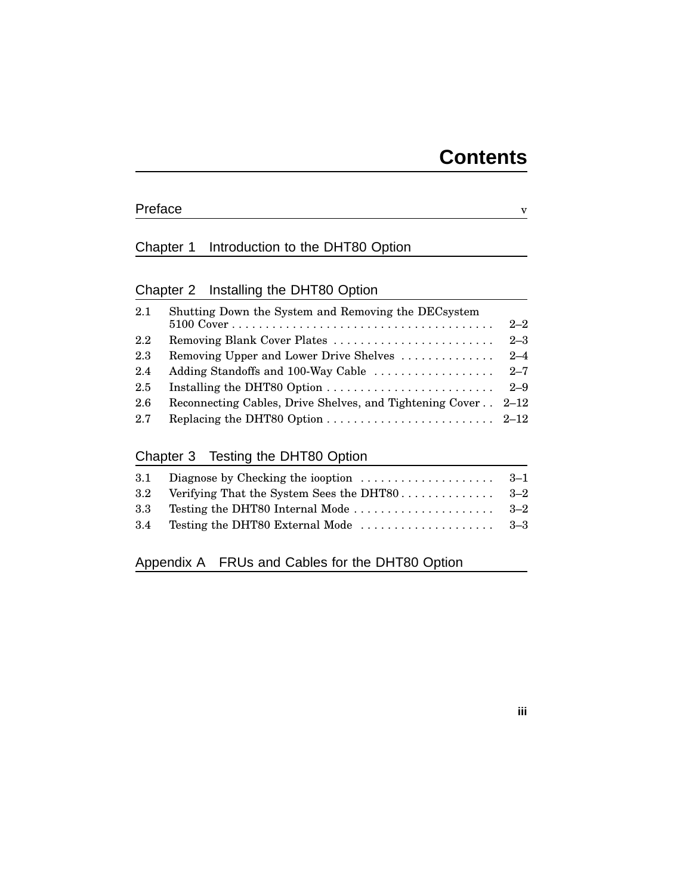### Preface v

### Chapter 1 Introduction to the DHT80 Option

## Chapter 2 Installing the DHT80 Option

| 2.1 | Shutting Down the System and Removing the DECsystem<br>$5100 \text{ Cover} \dots \dots \dots \dots \dots \dots \dots \dots \dots \dots \dots \dots \dots \dots$ | $2 - 2$ |
|-----|-----------------------------------------------------------------------------------------------------------------------------------------------------------------|---------|
| 2.2 | Removing Blank Cover Plates                                                                                                                                     | $2 - 3$ |
| 2.3 | Removing Upper and Lower Drive Shelves                                                                                                                          | $2 - 4$ |
| 2.4 | Adding Standoffs and 100-Way Cable                                                                                                                              | $2 - 7$ |
| 2.5 |                                                                                                                                                                 | $2 - 9$ |
| 2.6 | Reconnecting Cables, Drive Shelves, and Tightening Cover 2-12                                                                                                   |         |
| 2.7 |                                                                                                                                                                 |         |

### Chapter 3 Testing the DHT80 Option

| 3.1 Diagnose by Checking the iooption $\ldots \ldots \ldots \ldots \ldots$ 3-1 |  |
|--------------------------------------------------------------------------------|--|
|                                                                                |  |
|                                                                                |  |
| 3.4 Testing the DHT80 External Mode $\ldots \ldots \ldots \ldots \ldots$ 3-3   |  |
|                                                                                |  |

### Appendix A FRUs and Cables for the DHT80 Option

### **iii**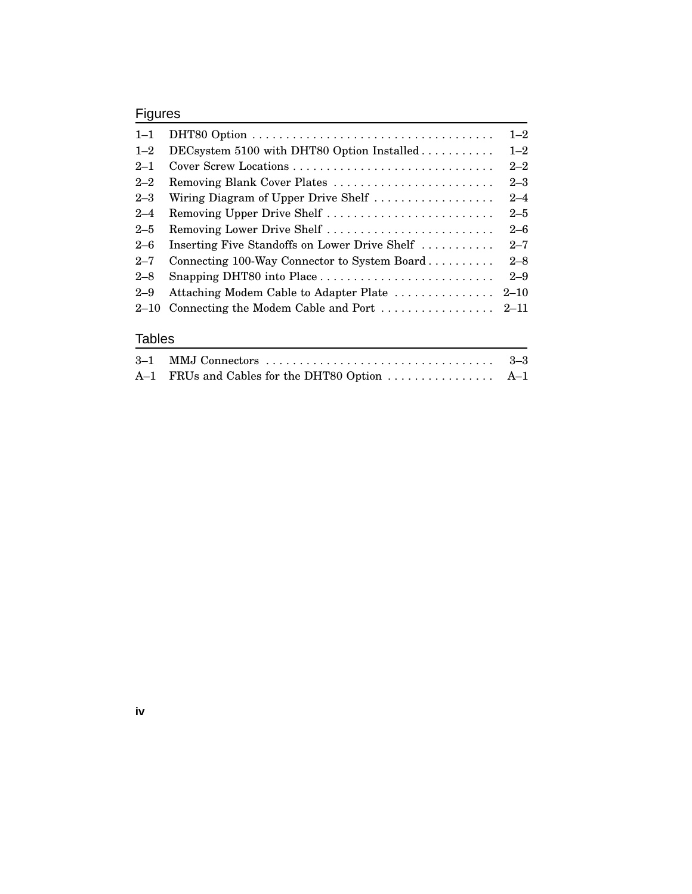### Figures

| $1 - 1$  |                                               | $1 - 2$  |
|----------|-----------------------------------------------|----------|
| $1 - 2$  |                                               | $1 - 2$  |
| $2 - 1$  | Cover Screw Locations                         | $2 - 2$  |
| $2 - 2$  | Removing Blank Cover Plates                   | $2 - 3$  |
| $2 - 3$  | Wiring Diagram of Upper Drive Shelf           | $2 - 4$  |
| $2 - 4$  | Removing Upper Drive Shelf                    | $2 - 5$  |
| $2 - 5$  | Removing Lower Drive Shelf                    | $2 - 6$  |
| $2 - 6$  | Inserting Five Standoffs on Lower Drive Shelf | $2 - 7$  |
| $2 - 7$  | Connecting 100-Way Connector to System Board  | $2 - 8$  |
| $2 - 8$  |                                               | $2 - 9$  |
| $2 - 9$  | Attaching Modem Cable to Adapter Plate        | $2 - 10$ |
| $2 - 10$ |                                               |          |
|          |                                               |          |

### Tables

**iv**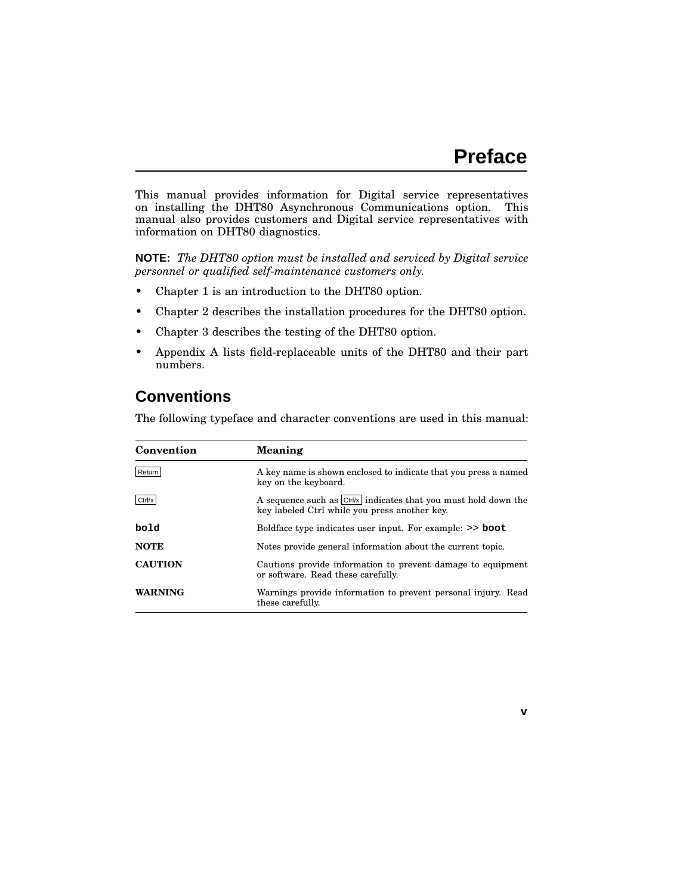**v**

This manual provides information for Digital service representatives on installing the DHT80 Asynchronous Communications option. This manual also provides customers and Digital service representatives with information on DHT80 diagnostics.

**NOTE:** *The DHT80 option must be installed and serviced by Digital service personnel or qualified self-maintenance customers only.*

- Chapter 1 is an introduction to the DHT80 option.
- Chapter 2 describes the installation procedures for the DHT80 option.
- Chapter 3 describes the testing of the DHT80 option.
- Appendix A lists field-replaceable units of the DHT80 and their part numbers.

### **Conventions**

The following typeface and character conventions are used in this manual:

| Meaning                                                                                                              |  |
|----------------------------------------------------------------------------------------------------------------------|--|
| A key name is shown enclosed to indicate that you press a named<br>key on the keyboard.                              |  |
| A sequence such as $Ctr\ x\ $ indicates that you must hold down the<br>key labeled Ctrl while you press another key. |  |
| Boldface type indicates user input. For example: >> boot                                                             |  |
| Notes provide general information about the current topic.                                                           |  |
| Cautions provide information to prevent damage to equipment<br>or software. Read these carefully.                    |  |
| Warnings provide information to prevent personal injury. Read<br>these carefully.                                    |  |
|                                                                                                                      |  |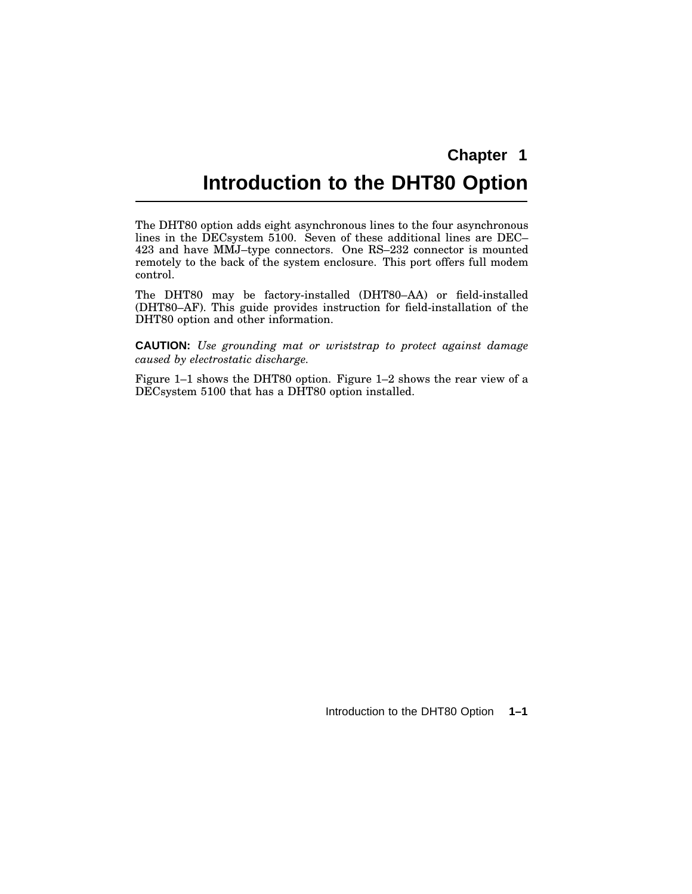## **Introduction to the DHT80 Option**

The DHT80 option adds eight asynchronous lines to the four asynchronous lines in the DECsystem 5100. Seven of these additional lines are DEC– 423 and have MMJ–type connectors. One RS–232 connector is mounted remotely to the back of the system enclosure. This port offers full modem control.

The DHT80 may be factory-installed (DHT80–AA) or field-installed (DHT80–AF). This guide provides instruction for field-installation of the DHT80 option and other information.

**CAUTION:** *Use grounding mat or wriststrap to protect against damage caused by electrostatic discharge.*

Figure 1–1 shows the DHT80 option. Figure 1–2 shows the rear view of a DECsystem 5100 that has a DHT80 option installed.

Introduction to the DHT80 Option **1–1**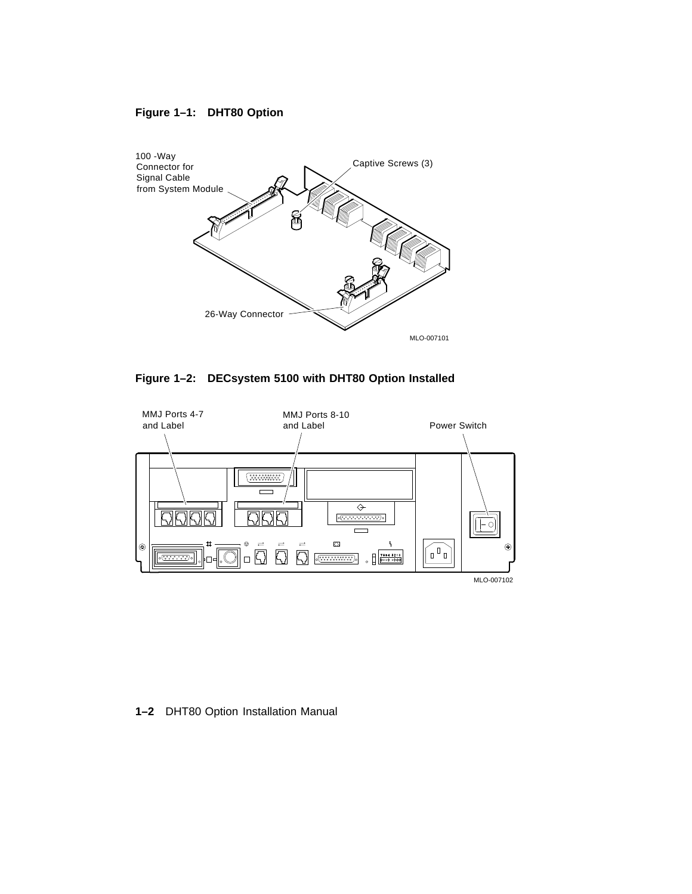### **Figure 1–1: DHT80 Option**



**Figure 1–2: DECsystem 5100 with DHT80 Option Installed**



**1–2** DHT80 Option Installation Manual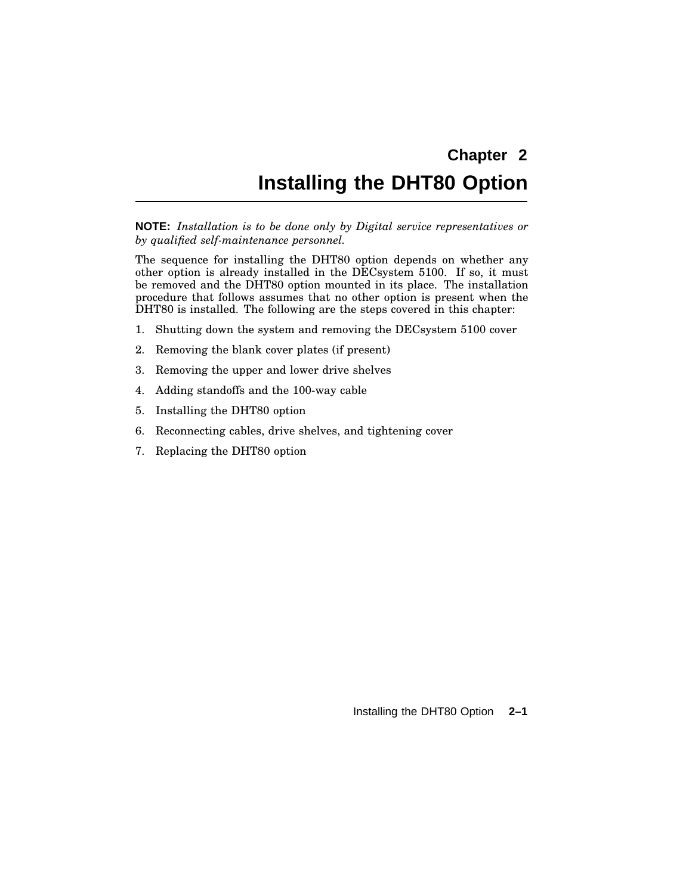## **Installing the DHT80 Option**

**NOTE:** *Installation is to be done only by Digital service representatives or by qualified self-maintenance personnel.*

The sequence for installing the DHT80 option depends on whether any other option is already installed in the DECsystem 5100. If so, it must be removed and the DHT80 option mounted in its place. The installation procedure that follows assumes that no other option is present when the DHT80 is installed. The following are the steps covered in this chapter:

- 1. Shutting down the system and removing the DECsystem 5100 cover
- 2. Removing the blank cover plates (if present)
- 3. Removing the upper and lower drive shelves
- 4. Adding standoffs and the 100-way cable
- 5. Installing the DHT80 option
- 6. Reconnecting cables, drive shelves, and tightening cover
- 7. Replacing the DHT80 option

Installing the DHT80 Option **2–1**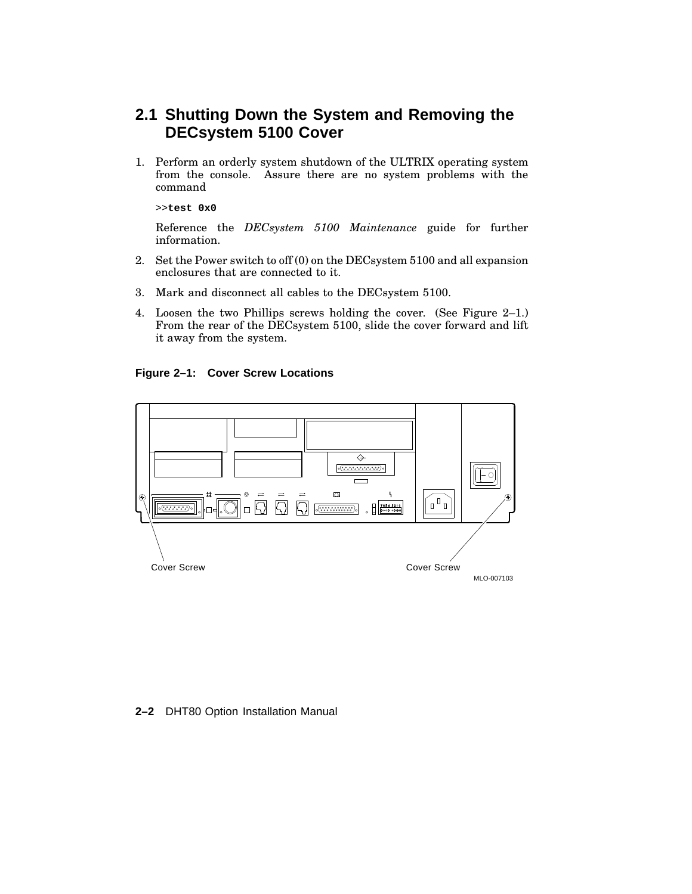### **2.1 Shutting Down the System and Removing the DECsystem 5100 Cover**

1. Perform an orderly system shutdown of the ULTRIX operating system from the console. Assure there are no system problems with the command

>>**test 0x0**

Reference the *DECsystem 5100 Maintenance* guide for further information.

- 2. Set the Power switch to off (0) on the DECsystem 5100 and all expansion enclosures that are connected to it.
- 3. Mark and disconnect all cables to the DECsystem 5100.
- 4. Loosen the two Phillips screws holding the cover. (See Figure 2–1.) From the rear of the DECsystem 5100, slide the cover forward and lift it away from the system.

**Figure 2–1: Cover Screw Locations**



#### **2–2** DHT80 Option Installation Manual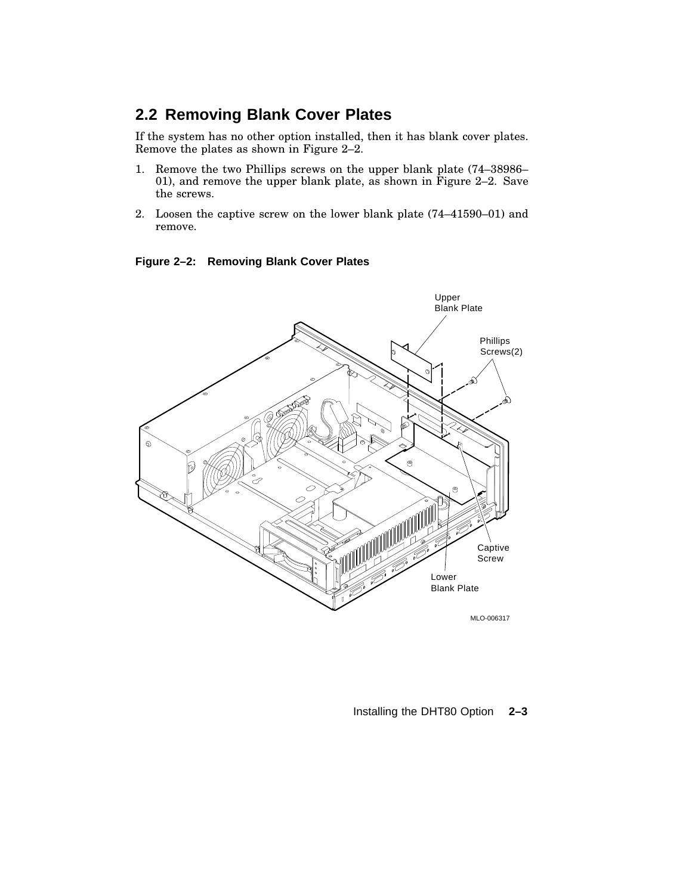### **2.2 Removing Blank Cover Plates**

If the system has no other option installed, then it has blank cover plates. Remove the plates as shown in Figure 2–2.

- 1. Remove the two Phillips screws on the upper blank plate (74–38986– 01), and remove the upper blank plate, as shown in Figure 2–2. Save the screws.
- 2. Loosen the captive screw on the lower blank plate (74–41590–01) and remove.





Installing the DHT80 Option **2–3**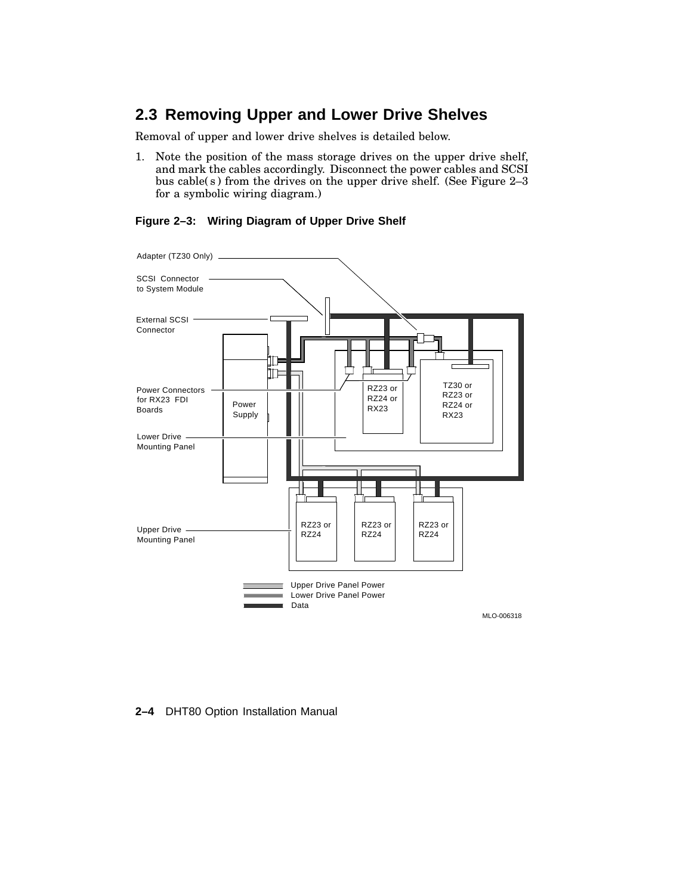## **2.3 Removing Upper and Lower Drive Shelves**

Removal of upper and lower drive shelves is detailed below.

1. Note the position of the mass storage drives on the upper drive shelf, and mark the cables accordingly. Disconnect the power cables and SCSI bus cable( s ) from the drives on the upper drive shelf. (See Figure 2–3 for a symbolic wiring diagram.)



#### **Figure 2–3: Wiring Diagram of Upper Drive Shelf**

#### **2–4** DHT80 Option Installation Manual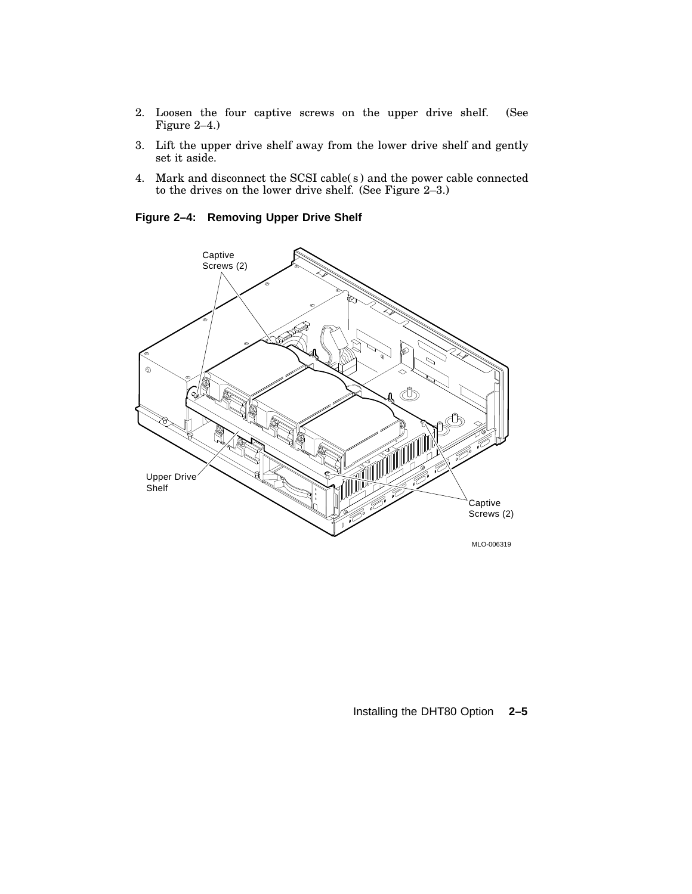- 2. Loosen the four captive screws on the upper drive shelf. (See Figure 2–4.)
- 3. Lift the upper drive shelf away from the lower drive shelf and gently set it aside.
- 4. Mark and disconnect the SCSI cable( s ) and the power cable connected to the drives on the lower drive shelf. (See Figure 2–3.)

**Figure 2–4: Removing Upper Drive Shelf**



#### Installing the DHT80 Option **2–5**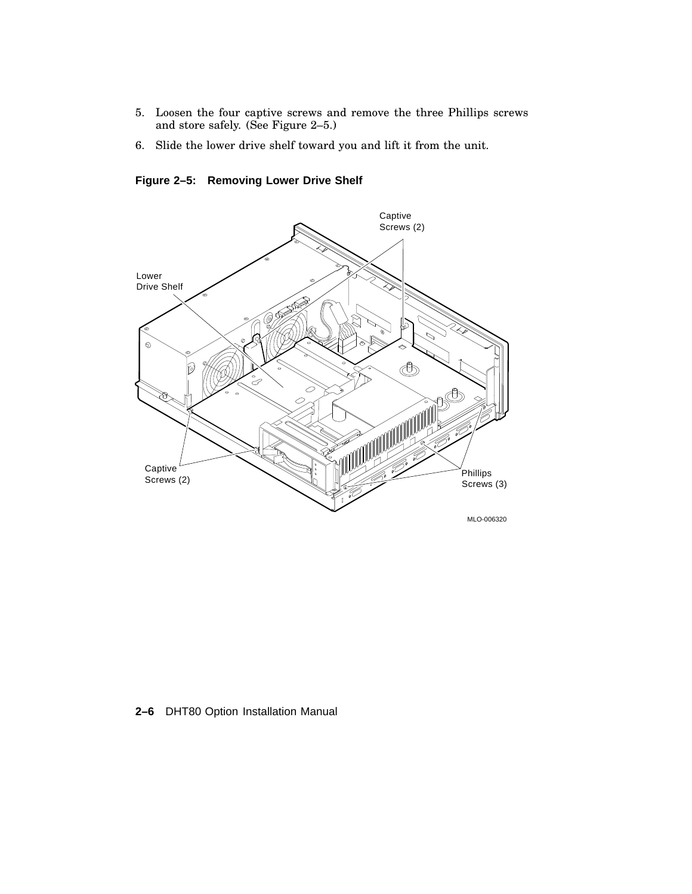- 5. Loosen the four captive screws and remove the three Phillips screws and store safely. (See Figure 2–5.)
- 6. Slide the lower drive shelf toward you and lift it from the unit.

**Figure 2–5: Removing Lower Drive Shelf**



### **2–6** DHT80 Option Installation Manual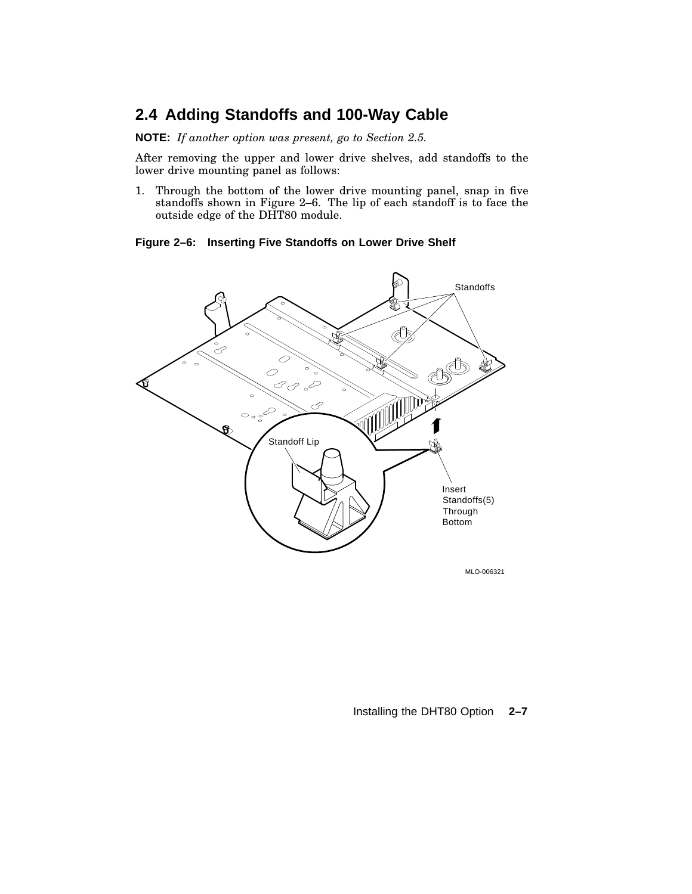### **2.4 Adding Standoffs and 100-Way Cable**

**NOTE:** *If another option was present, go to Section 2.5.*

After removing the upper and lower drive shelves, add standoffs to the lower drive mounting panel as follows:

1. Through the bottom of the lower drive mounting panel, snap in five standoffs shown in Figure 2–6. The lip of each standoff is to face the outside edge of the DHT80 module.

**Figure 2–6: Inserting Five Standoffs on Lower Drive Shelf**



MLO-006321

Installing the DHT80 Option **2–7**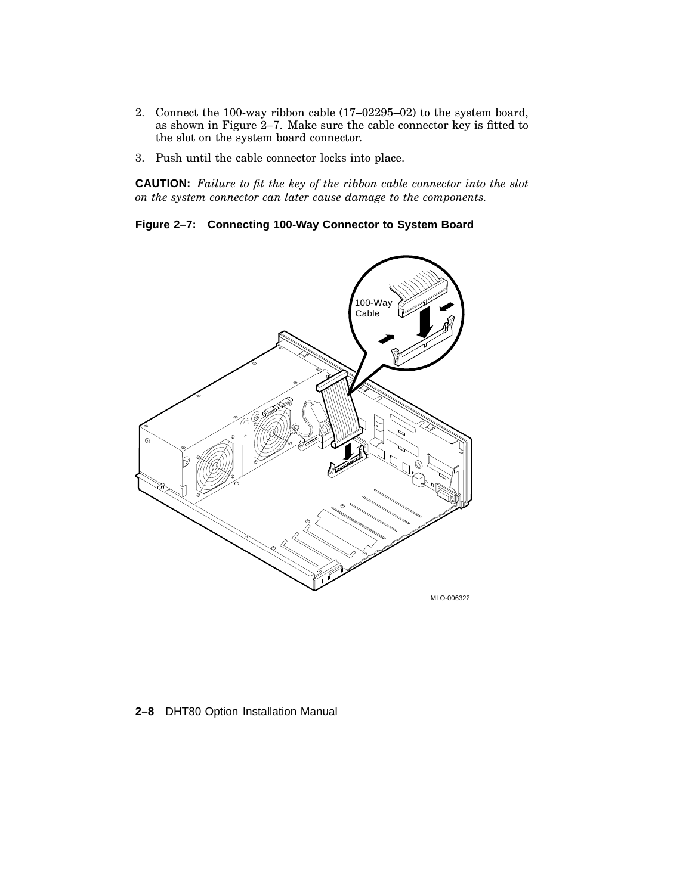- 2. Connect the 100-way ribbon cable (17–02295–02) to the system board, as shown in Figure 2–7. Make sure the cable connector key is fitted to the slot on the system board connector.
- 3. Push until the cable connector locks into place.

**CAUTION:** *Failure to fit the key of the ribbon cable connector into the slot on the system connector can later cause damage to the components.*

**Figure 2–7: Connecting 100-Way Connector to System Board**



**2–8** DHT80 Option Installation Manual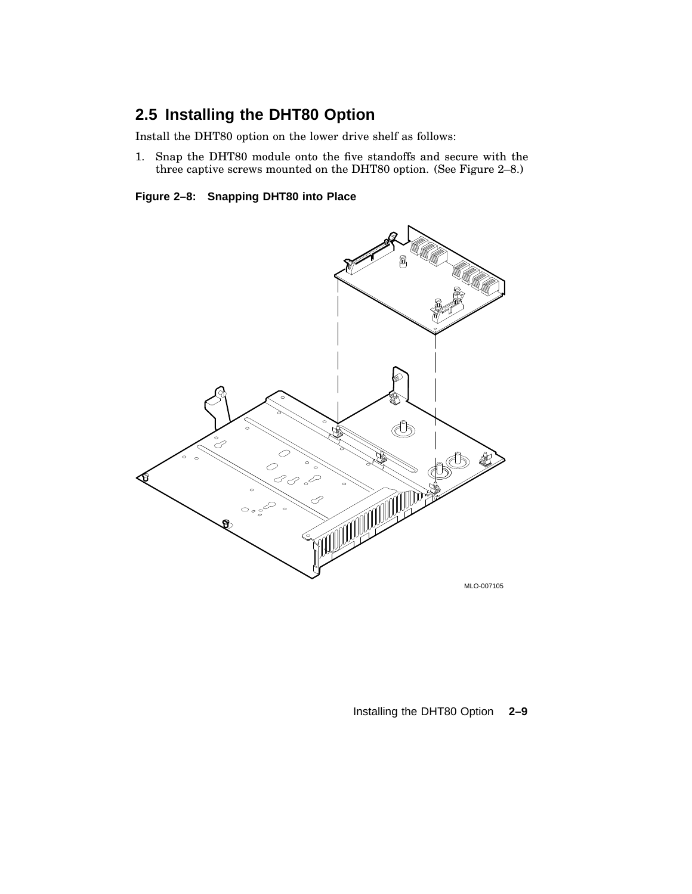## **2.5 Installing the DHT80 Option**

Install the DHT80 option on the lower drive shelf as follows:

1. Snap the DHT80 module onto the five standoffs and secure with the three captive screws mounted on the DHT80 option. (See Figure 2–8.)

**Figure 2–8: Snapping DHT80 into Place**



### Installing the DHT80 Option **2–9**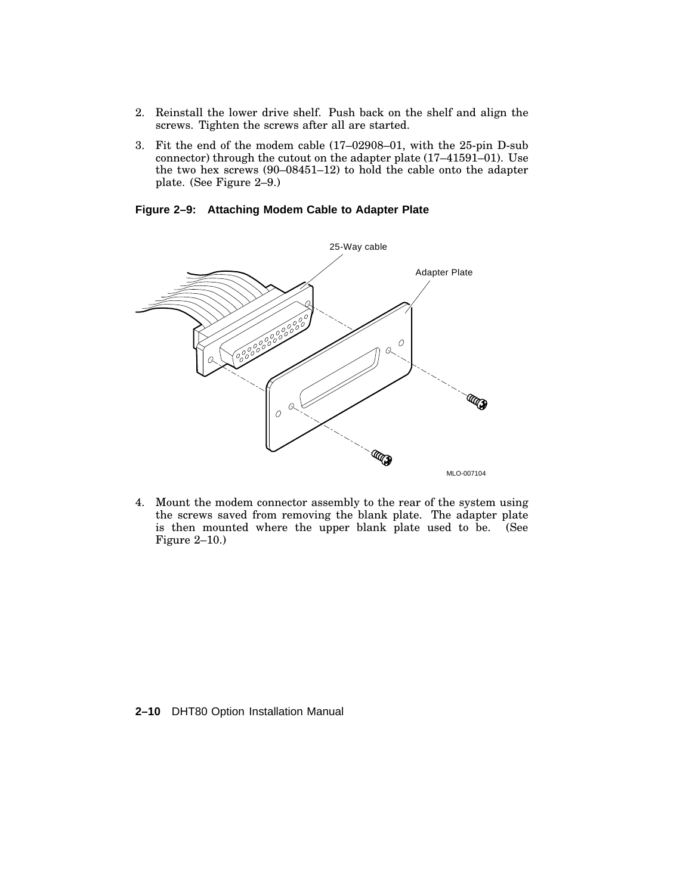- 2. Reinstall the lower drive shelf. Push back on the shelf and align the screws. Tighten the screws after all are started.
- 3. Fit the end of the modem cable (17–02908–01, with the 25-pin D-sub connector) through the cutout on the adapter plate (17–41591–01). Use the two hex screws (90–08451–12) to hold the cable onto the adapter plate. (See Figure 2–9.)

**Figure 2–9: Attaching Modem Cable to Adapter Plate**



4. Mount the modem connector assembly to the rear of the system using the screws saved from removing the blank plate. The adapter plate is then mounted where the upper blank plate used to be. (See Figure 2–10.)

#### **2–10** DHT80 Option Installation Manual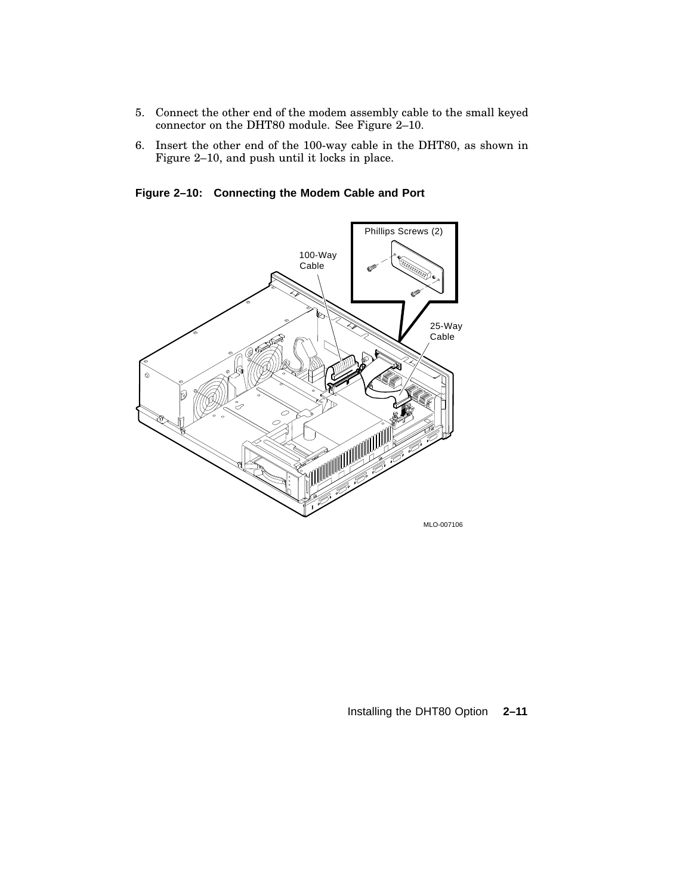- 5. Connect the other end of the modem assembly cable to the small keyed connector on the DHT80 module. See Figure 2–10.
- 6. Insert the other end of the 100-way cable in the DHT80, as shown in Figure 2–10, and push until it locks in place.

**Figure 2–10: Connecting the Modem Cable and Port**



Installing the DHT80 Option **2–11**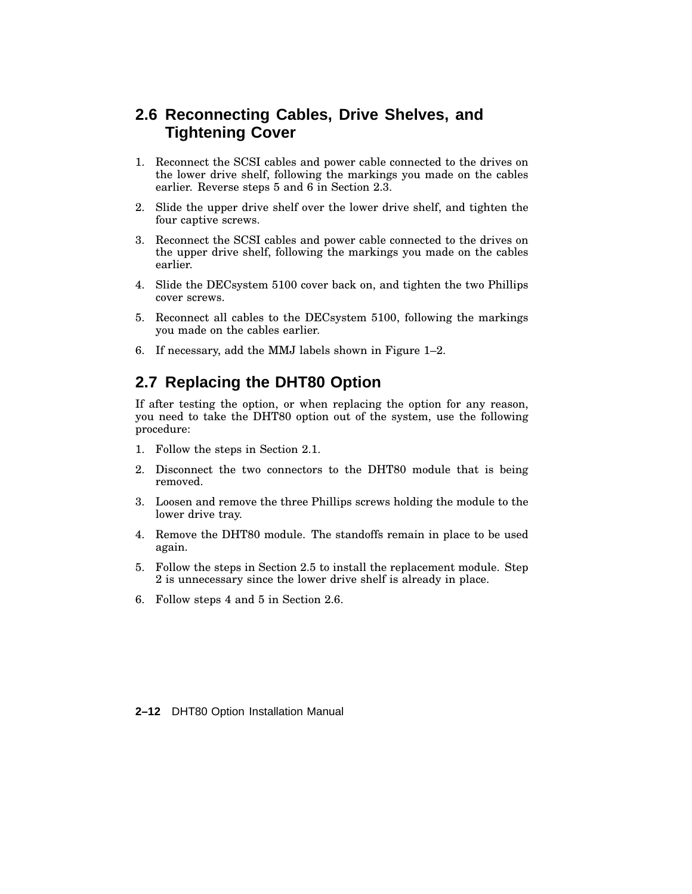### **2.6 Reconnecting Cables, Drive Shelves, and Tightening Cover**

- 1. Reconnect the SCSI cables and power cable connected to the drives on the lower drive shelf, following the markings you made on the cables earlier. Reverse steps 5 and 6 in Section 2.3.
- 2. Slide the upper drive shelf over the lower drive shelf, and tighten the four captive screws.
- 3. Reconnect the SCSI cables and power cable connected to the drives on the upper drive shelf, following the markings you made on the cables earlier.
- 4. Slide the DECsystem 5100 cover back on, and tighten the two Phillips cover screws.
- 5. Reconnect all cables to the DECsystem 5100, following the markings you made on the cables earlier.
- 6. If necessary, add the MMJ labels shown in Figure 1–2.

### **2.7 Replacing the DHT80 Option**

If after testing the option, or when replacing the option for any reason, you need to take the DHT80 option out of the system, use the following procedure:

- 1. Follow the steps in Section 2.1.
- 2. Disconnect the two connectors to the DHT80 module that is being removed.
- 3. Loosen and remove the three Phillips screws holding the module to the lower drive tray.
- 4. Remove the DHT80 module. The standoffs remain in place to be used again.
- 5. Follow the steps in Section 2.5 to install the replacement module. Step 2 is unnecessary since the lower drive shelf is already in place.
- 6. Follow steps 4 and 5 in Section 2.6.

**2–12** DHT80 Option Installation Manual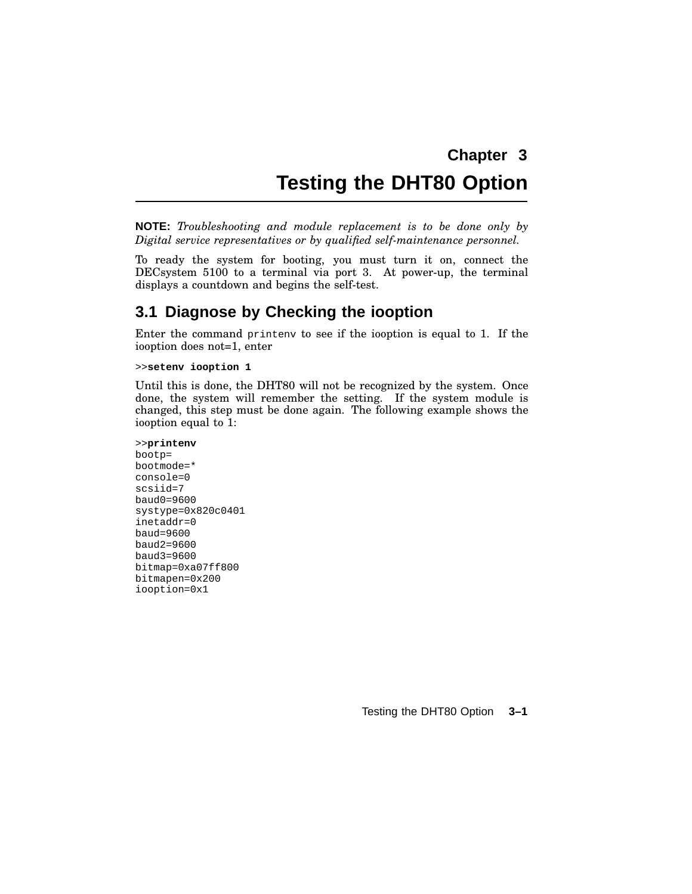## **Chapter 3 Testing the DHT80 Option**

**NOTE:** *Troubleshooting and module replacement is to be done only by Digital service representatives or by qualified self-maintenance personnel.*

To ready the system for booting, you must turn it on, connect the DECsystem 5100 to a terminal via port 3. At power-up, the terminal displays a countdown and begins the self-test.

### **3.1 Diagnose by Checking the iooption**

Enter the command printenv to see if the iooption is equal to 1. If the iooption does not=1, enter

>>**setenv iooption 1**

Until this is done, the DHT80 will not be recognized by the system. Once done, the system will remember the setting. If the system module is changed, this step must be done again. The following example shows the iooption equal to 1:

```
>>printenv
bootp=
bootmode=*
console=0
scsiid=7
baud0=9600
systype=0x820c0401
inetaddr=0
baud=9600
baud2=9600
baud3=9600
bitmap=0xa07ff800
bitmapen=0x200
iooption=0x1
```
Testing the DHT80 Option **3–1**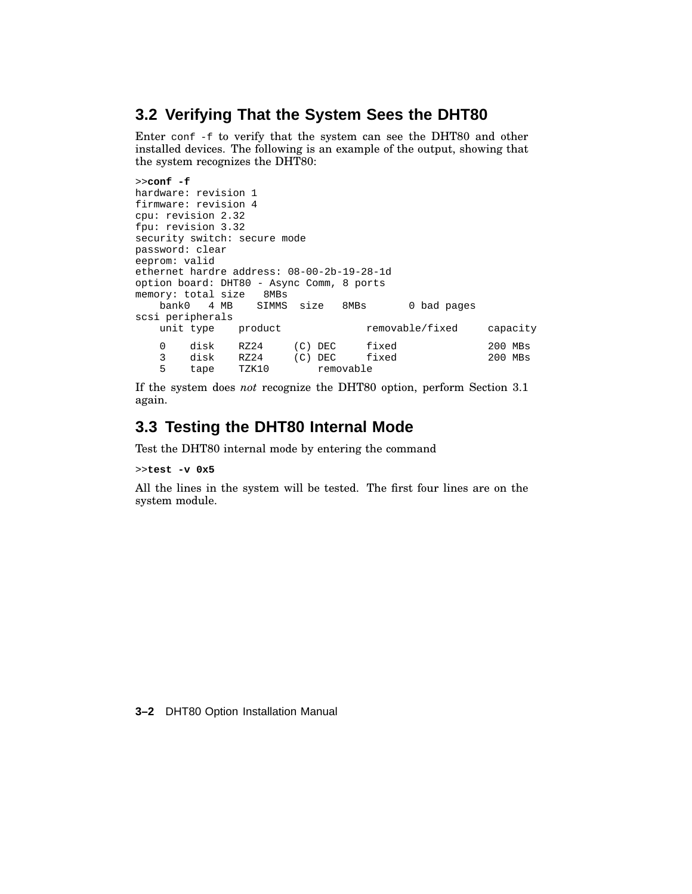### **3.2 Verifying That the System Sees the DHT80**

Enter conf -f to verify that the system can see the DHT80 and other installed devices. The following is an example of the output, showing that the system recognizes the DHT80:

```
>>conf -f
hardware: revision 1
firmware: revision 4
cpu: revision 2.32
fpu: revision 3.32
security switch: secure mode
password: clear
eeprom: valid
ethernet hardre address: 08-00-2b-19-28-1d
option board: DHT80 - Async Comm, 8 ports
memory: total size 8MBs
   bank0 4 MB SIMMS size 8MBs 0 bad pages
scsi peripherals
   unit type product removable/fixed capacity
   0 disk RZ24 (C) DEC fixed 200 MBs
   3 disk RZ24 (C) DEC fixed 200 MBs
   5 tape TZK10 removable
```
If the system does *not* recognize the DHT80 option, perform Section 3.1 again.

### **3.3 Testing the DHT80 Internal Mode**

Test the DHT80 internal mode by entering the command

>>**test -v 0x5**

All the lines in the system will be tested. The first four lines are on the system module.

**3–2** DHT80 Option Installation Manual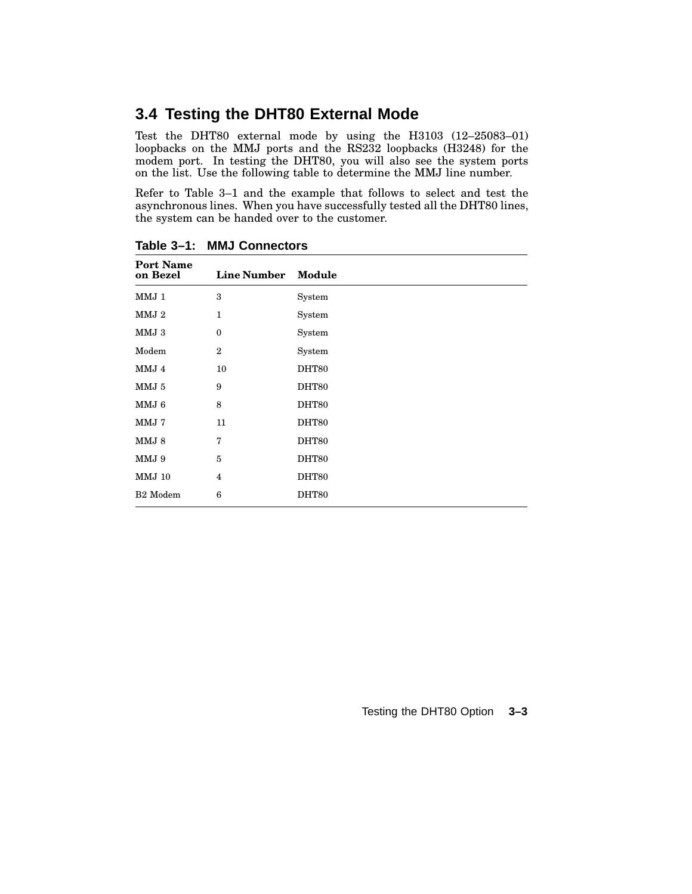### **3.4 Testing the DHT80 External Mode**

Test the DHT80 external mode by using the H3103 (12–25083–01) loopbacks on the MMJ ports and the RS232 loopbacks (H3248) for the modem port. In testing the DHT80, you will also see the system ports on the list. Use the following table to determine the MMJ line number.

Refer to Table 3–1 and the example that follows to select and test the asynchronous lines. When you have successfully tested all the DHT80 lines, the system can be handed over to the customer.

| <b>Port Name</b><br>on Bezel | <b>Line Number</b> | Module |
|------------------------------|--------------------|--------|
| MMJ 1                        | 3                  | System |
| MMJ 2                        | $\mathbf{1}$       | System |
| MMJ3                         | $\boldsymbol{0}$   | System |
| Modem                        | $\overline{2}$     | System |
| MMJ 4                        | 10                 | DHT80  |
| MMJ 5                        | 9                  | DHT80  |
| MMJ 6                        | 8                  | DHT80  |
| MMJ 7                        | 11                 | DHT80  |
| MMJ 8                        | 7                  | DHT80  |
| MMJ 9                        | 5                  | DHT80  |
| <b>MMJ 10</b>                | $\overline{4}$     | DHT80  |
| B <sub>2</sub> Modem         | 6                  | DHT80  |

**Table 3–1: MMJ Connectors**

Testing the DHT80 Option **3–3**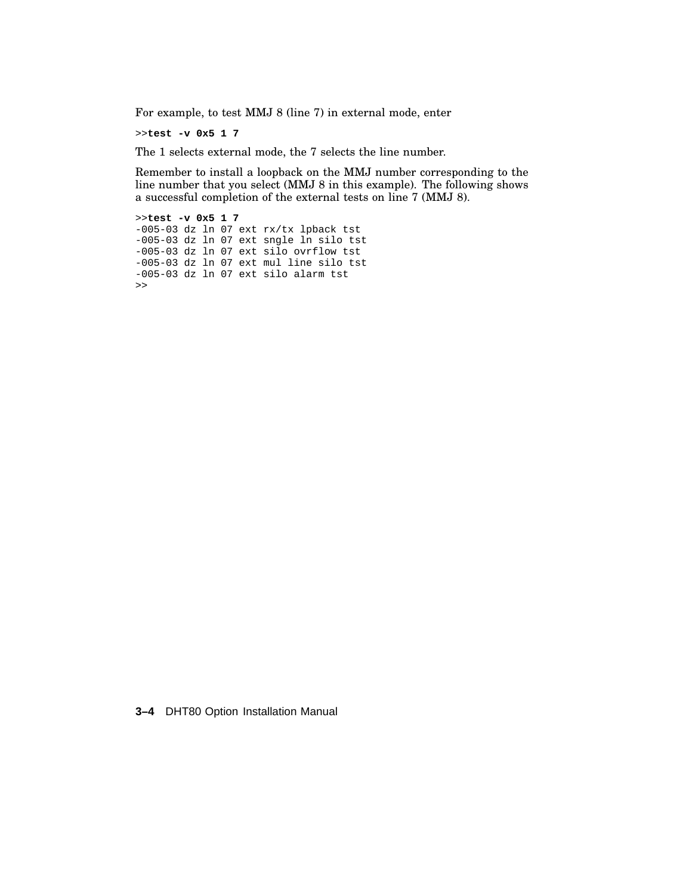For example, to test MMJ 8 (line 7) in external mode, enter

>>**test -v 0x5 1 7**

The 1 selects external mode, the 7 selects the line number.

Remember to install a loopback on the MMJ number corresponding to the line number that you select (MMJ 8 in this example). The following shows a successful completion of the external tests on line 7 (MMJ 8).

>>**test -v 0x5 1 7** -005-03 dz ln 07 ext rx/tx lpback tst -005-03 dz ln 07 ext sngle ln silo tst -005-03 dz ln 07 ext silo ovrflow tst -005-03 dz ln 07 ext mul line silo tst -005-03 dz ln 07 ext silo alarm tst  $\,$ 

**3–4** DHT80 Option Installation Manual